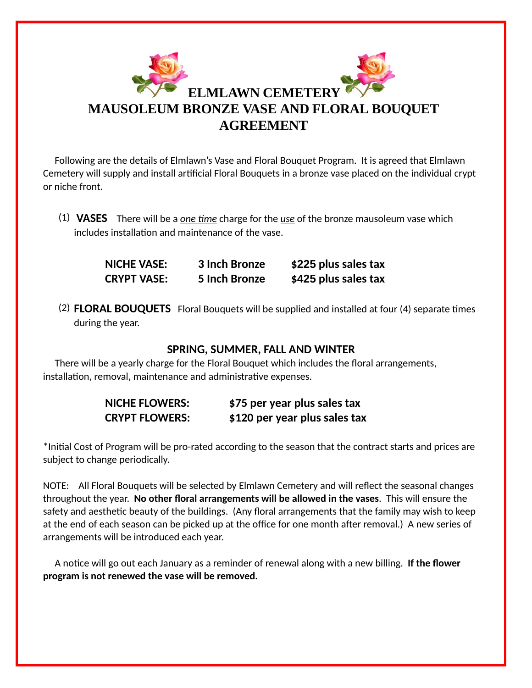

 Following are the details of Elmlawn's Vase and Floral Bouquet Program. It is agreed that Elmlawn Cemetery will supply and install arficial Floral Bouquets in a bronze vase placed on the individual crypt or niche front.

(1) **VASES** There will be a <u>one time</u> charge for the <u>use</u> of the bronze mausoleum vase which includes installation and maintenance of the vase.

> **NICHE VASE: 3 Inch Bronze \$225 plus sales tax CRYPT VASE: 5 Inch Bronze \$425 plus sales tax**

(2) FLORAL BOUQUETS Floral Bouquets will be supplied and installed at four (4) separate times during the year.

## **SPRING, SUMMER, FALL AND WINTER**

 There will be a yearly charge for the Floral Bouquet which includes the floral arrangements, installation, removal, maintenance and administrative expenses.

| <b>NICHE FLOWERS:</b> | \$75 per year plus sales tax  |
|-----------------------|-------------------------------|
| <b>CRYPT FLOWERS:</b> | \$120 per year plus sales tax |

\*Inial Cost of Program will be pro-rated according to the season that the contract starts and prices are subject to change periodically.

NOTE: All Floral Bouquets will be selected by Elmlawn Cemetery and will reflect the seasonal changes throughout the year. **No other floral arrangements will be allowed in the vases**. This will ensure the safety and aesthetic beauty of the buildings. (Any floral arrangements that the family may wish to keep at the end of each season can be picked up at the office for one month after removal.) A new series of arrangements will be introduced each year.

A notice will go out each January as a reminder of renewal along with a new billing. If the flower **program is not renewed the vase will be removed.**